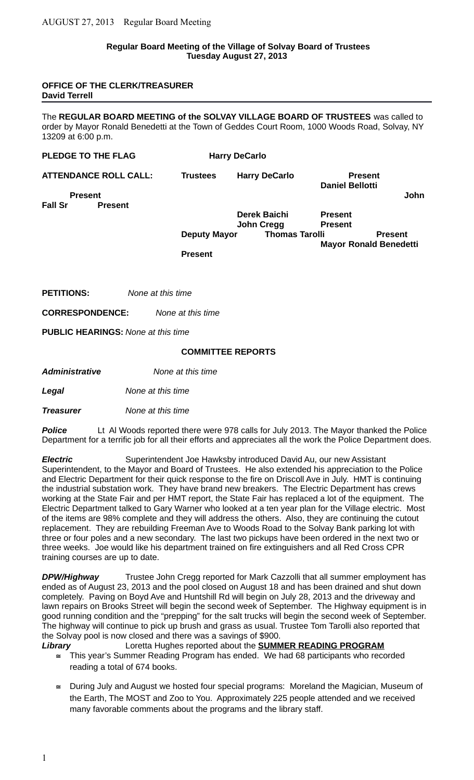## **Regular Board Meeting of the Village of Solvay Board of Trustees Tuesday August 27, 2013**

#### **OFFICE OF THE CLERK/TREASURER David Terrell**

The **REGULAR BOARD MEETING of the SOLVAY VILLAGE BOARD OF TRUSTEES** was called to order by Mayor Ronald Benedetti at the Town of Geddes Court Room, 1000 Woods Road, Solvay, NY 13209 at 6:00 p.m.

|                              | PLEDGE TO THE FLAG |                     | <b>Harry DeCarlo</b>  |                |                                          |  |
|------------------------------|--------------------|---------------------|-----------------------|----------------|------------------------------------------|--|
| <b>ATTENDANCE ROLL CALL:</b> |                    | <b>Trustees</b>     | <b>Harry DeCarlo</b>  |                | <b>Present</b><br><b>Daniel Bellotti</b> |  |
|                              | <b>Present</b>     |                     |                       |                | <b>John</b>                              |  |
| <b>Fall Sr</b>               | <b>Present</b>     |                     |                       |                |                                          |  |
|                              |                    |                     | Derek Baichi          | <b>Present</b> |                                          |  |
|                              |                    |                     | John Cregg            | <b>Present</b> |                                          |  |
|                              |                    | <b>Deputy Mayor</b> | <b>Thomas Tarolli</b> |                | <b>Present</b>                           |  |
|                              |                    |                     |                       |                | <b>Mayor Ronald Benedetti</b>            |  |
|                              |                    | <b>Present</b>      |                       |                |                                          |  |

**PETITIONS:** *None at this time*

**CORRESPONDENCE:** *None at this time*

**PUBLIC HEARINGS:** *None at this time*

#### **COMMITTEE REPORTS**

*Administrative None at this time*

*Legal None at this time*

*Treasurer None at this time*

**Police** Lt Al Woods reported there were 978 calls for July 2013. The Mayor thanked the Police Department for a terrific job for all their efforts and appreciates all the work the Police Department does.

**Electric** Superintendent Joe Hawksby introduced David Au, our new Assistant Superintendent, to the Mayor and Board of Trustees. He also extended his appreciation to the Police and Electric Department for their quick response to the fire on Driscoll Ave in July. HMT is continuing the industrial substation work. They have brand new breakers. The Electric Department has crews working at the State Fair and per HMT report, the State Fair has replaced a lot of the equipment. The Electric Department talked to Gary Warner who looked at a ten year plan for the Village electric. Most of the items are 98% complete and they will address the others. Also, they are continuing the cutout replacement. They are rebuilding Freeman Ave to Woods Road to the Solvay Bank parking lot with three or four poles and a new secondary. The last two pickups have been ordered in the next two or three weeks. Joe would like his department trained on fire extinguishers and all Red Cross CPR training courses are up to date.

*DPW/Highway* Trustee John Cregg reported for Mark Cazzolli that all summer employment has ended as of August 23, 2013 and the pool closed on August 18 and has been drained and shut down completely. Paving on Boyd Ave and Huntshill Rd will begin on July 28, 2013 and the driveway and lawn repairs on Brooks Street will begin the second week of September. The Highway equipment is in good running condition and the "prepping" for the salt trucks will begin the second week of September. The highway will continue to pick up brush and grass as usual. Trustee Tom Tarolli also reported that the Solvay pool is now closed and there was a savings of \$900.

*Library* Loretta Hughes reported about the **SUMMER READING PROGRAM**

- $\le$  This year's Summer Reading Program has ended. We had 68 participants who recorded reading a total of 674 books.
- During July and August we hosted four special programs: Moreland the Magician, Museum of the Earth, The MOST and Zoo to You. Approximately 225 people attended and we received many favorable comments about the programs and the library staff.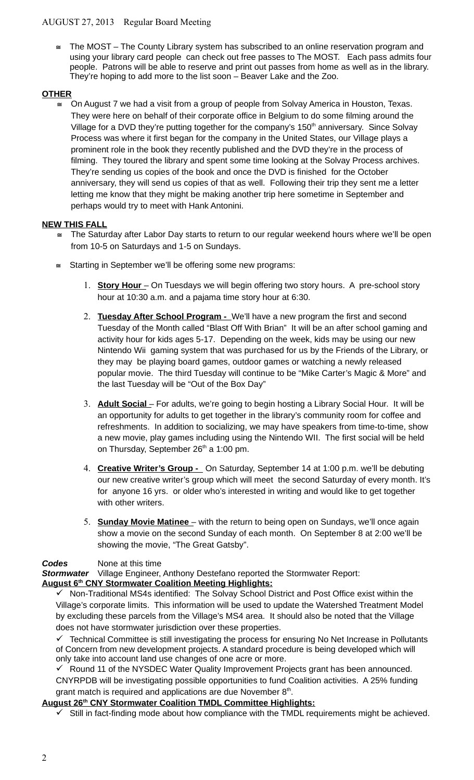# AUGUST 27, 2013 Regular Board Meeting

 The MOST – The County Library system has subscribed to an online reservation program and using your library card people can check out free passes to The MOST. Each pass admits four people. Patrons will be able to reserve and print out passes from home as well as in the library. They're hoping to add more to the list soon – Beaver Lake and the Zoo.

# **OTHER**

 On August 7 we had a visit from a group of people from Solvay America in Houston, Texas. They were here on behalf of their corporate office in Belgium to do some filming around the Village for a DVD they're putting together for the company's 150<sup>th</sup> anniversary. Since Solvay Process was where it first began for the company in the United States, our Village plays a prominent role in the book they recently published and the DVD they're in the process of filming. They toured the library and spent some time looking at the Solvay Process archives. They're sending us copies of the book and once the DVD is finished for the October anniversary, they will send us copies of that as well. Following their trip they sent me a letter letting me know that they might be making another trip here sometime in September and perhaps would try to meet with Hank Antonini.

# **NEW THIS FALL**

- The Saturday after Labor Day starts to return to our regular weekend hours where we'll be open from 10-5 on Saturdays and 1-5 on Sundays.
- $\leq$  Starting in September we'll be offering some new programs:
	- 1. **Story Hour**  On Tuesdays we will begin offering two story hours. A pre-school story hour at 10:30 a.m. and a pajama time story hour at 6:30.
	- 2. **Tuesday After School Program** We'll have a new program the first and second Tuesday of the Month called "Blast Off With Brian" It will be an after school gaming and activity hour for kids ages 5-17. Depending on the week, kids may be using our new Nintendo Wii gaming system that was purchased for us by the Friends of the Library, or they may be playing board games, outdoor games or watching a newly released popular movie. The third Tuesday will continue to be "Mike Carter's Magic & More" and the last Tuesday will be "Out of the Box Day"
	- 3. **Adult Social**  For adults, we're going to begin hosting a Library Social Hour. It will be an opportunity for adults to get together in the library's community room for coffee and refreshments. In addition to socializing, we may have speakers from time-to-time, show a new movie, play games including using the Nintendo WII. The first social will be held on Thursday, September  $26<sup>th</sup>$  a 1:00 pm.
	- 4. **Creative Writer's Group** On Saturday, September 14 at 1:00 p.m. we'll be debuting our new creative writer's group which will meet the second Saturday of every month. It's for anyone 16 yrs. or older who's interested in writing and would like to get together with other writers.
	- 5. **Sunday Movie Matinee**  with the return to being open on Sundays, we'll once again show a movie on the second Sunday of each month. On September 8 at 2:00 we'll be showing the movie, "The Great Gatsby".

## **Codes** None at this time

*Stormwater* Village Engineer, Anthony Destefano reported the Stormwater Report:

## **August 6th CNY Stormwater Coalition Meeting Highlights:**

 $\checkmark$  Non-Traditional MS4s identified: The Solvay School District and Post Office exist within the Village's corporate limits. This information will be used to update the Watershed Treatment Model by excluding these parcels from the Village's MS4 area. It should also be noted that the Village does not have stormwater jurisdiction over these properties.

 Technical Committee is still investigating the process for ensuring No Net Increase in Pollutants of Concern from new development projects. A standard procedure is being developed which will only take into account land use changes of one acre or more.

 $\checkmark$  Round 11 of the NYSDEC Water Quality Improvement Projects grant has been announced. CNYRPDB will be investigating possible opportunities to fund Coalition activities. A 25% funding grant match is required and applications are due November  $8<sup>th</sup>$ .

## **August 26th CNY Stormwater Coalition TMDL Committee Highlights:**

 $\checkmark$  Still in fact-finding mode about how compliance with the TMDL requirements might be achieved.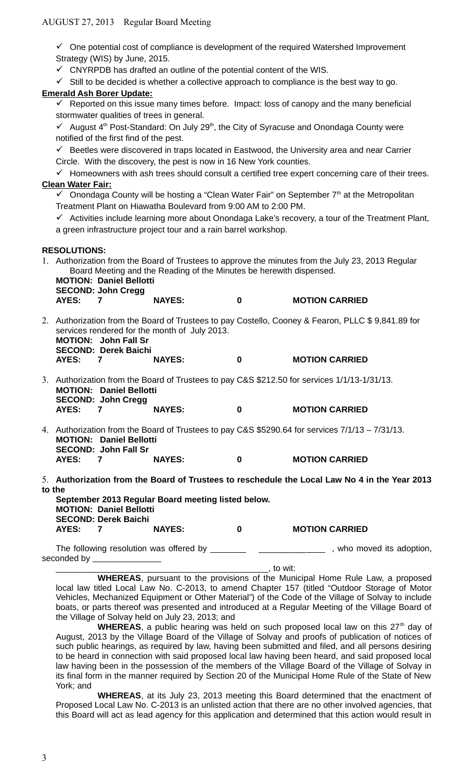$\checkmark$  One potential cost of compliance is development of the required Watershed Improvement Strategy (WIS) by June, 2015.

 $\checkmark$  CNYRPDB has drafted an outline of the potential content of the WIS.

 $\checkmark$  Still to be decided is whether a collective approach to compliance is the best way to go.

### **Emerald Ash Borer Update:**

 $\checkmark$  Reported on this issue many times before. Impact: loss of canopy and the many beneficial stormwater qualities of trees in general.

 $\checkmark$  August 4<sup>th</sup> Post-Standard: On July 29<sup>th</sup>, the City of Syracuse and Onondaga County were notified of the first find of the pest.

 $\checkmark$  Beetles were discovered in traps located in Eastwood, the University area and near Carrier Circle. With the discovery, the pest is now in 16 New York counties.

 $\checkmark$  Homeowners with ash trees should consult a certified tree expert concerning care of their trees. **Clean Water Fair:**

 $\checkmark$  Onondaga County will be hosting a "Clean Water Fair" on September 7<sup>th</sup> at the Metropolitan Treatment Plant on Hiawatha Boulevard from 9:00 AM to 2:00 PM.

 $\checkmark$  Activities include learning more about Onondaga Lake's recovery, a tour of the Treatment Plant, a green infrastructure project tour and a rain barrel workshop.

## **RESOLUTIONS:**

1. Authorization from the Board of Trustees to approve the minutes from the July 23, 2013 Regular Board Meeting and the Reading of the Minutes be herewith dispensed. **MOTION: Daniel Bellotti SECOND: John Cregg**

| AYES: | <b>NAYES:</b> | <b>MOTION CARRIED</b>                                                                              |  |
|-------|---------------|----------------------------------------------------------------------------------------------------|--|
|       |               | 2. Authorization from the Board of Trustees to pay Costello, Cooney & Fearon, PLLC \$ 9,841.89 for |  |

services rendered for the month of July 2013. **MOTION: John Fall Sr**

**SECOND: Derek Baichi AYES: 7 NAYES: 0 MOTION CARRIED**

3. Authorization from the Board of Trustees to pay C&S \$212.50 for services 1/1/13-1/31/13. **MOTION: Daniel Bellotti**

**SECOND: John Cregg AYES: 7 NAYES: 0 MOTION CARRIED**

4. Authorization from the Board of Trustees to pay C&S \$5290.64 for services 7/1/13 – 7/31/13. **MOTION: Daniel Bellotti SECOND: John Fall Sr AYES: 7 NAYES: 0 MOTION CARRIED**

5. **Authorization from the Board of Trustees to reschedule the Local Law No 4 in the Year 2013 to the** 

| September 2013 Regular Board meeting listed below. |                             |               |   |                       |  |  |  |
|----------------------------------------------------|-----------------------------|---------------|---|-----------------------|--|--|--|
| <b>MOTION: Daniel Bellotti</b>                     |                             |               |   |                       |  |  |  |
|                                                    | <b>SECOND: Derek Baichi</b> |               |   |                       |  |  |  |
| <b>AYES:</b>                                       |                             | <b>NAYES:</b> | n | <b>MOTION CARRIED</b> |  |  |  |

The following resolution was offered by \_\_\_\_\_\_\_\_\_\_\_\_\_\_\_\_\_\_\_\_\_\_\_\_\_\_\_\_\_\_\_\_\_\_, who moved its adoption, seconded by

\_\_\_\_\_\_\_\_\_\_\_\_\_\_\_\_\_\_\_\_\_\_\_\_\_\_\_\_\_\_\_\_\_\_\_\_\_\_\_\_\_\_\_\_\_, to wit:

**WHEREAS**, pursuant to the provisions of the Municipal Home Rule Law, a proposed local law titled Local Law No. C-2013, to amend Chapter 157 (titled "Outdoor Storage of Motor Vehicles, Mechanized Equipment or Other Material") of the Code of the Village of Solvay to include boats, or parts thereof was presented and introduced at a Regular Meeting of the Village Board of the Village of Solvay held on July 23, 2013; and

**WHEREAS**, a public hearing was held on such proposed local law on this 27<sup>th</sup> day of August, 2013 by the Village Board of the Village of Solvay and proofs of publication of notices of such public hearings, as required by law, having been submitted and filed, and all persons desiring to be heard in connection with said proposed local law having been heard, and said proposed local law having been in the possession of the members of the Village Board of the Village of Solvay in its final form in the manner required by Section 20 of the Municipal Home Rule of the State of New York; and

**WHEREAS**, at its July 23, 2013 meeting this Board determined that the enactment of Proposed Local Law No. C-2013 is an unlisted action that there are no other involved agencies, that this Board will act as lead agency for this application and determined that this action would result in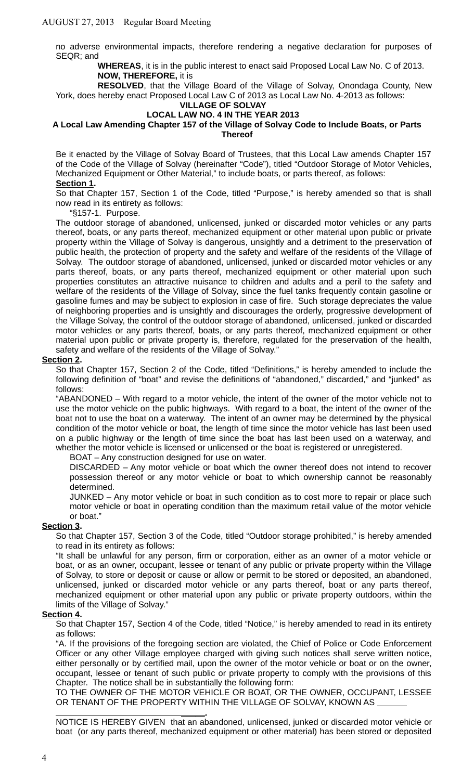no adverse environmental impacts, therefore rendering a negative declaration for purposes of SEQR; and

**WHEREAS**, it is in the public interest to enact said Proposed Local Law No. C of 2013. **NOW, THEREFORE,** it is

**RESOLVED**, that the Village Board of the Village of Solvay, Onondaga County, New York, does hereby enact Proposed Local Law C of 2013 as Local Law No. 4-2013 as follows:

#### **VILLAGE OF SOLVAY LOCAL LAW NO. 4 IN THE YEAR 2013**

## **A Local Law Amending Chapter 157 of the Village of Solvay Code to Include Boats, or Parts Thereof**

Be it enacted by the Village of Solvay Board of Trustees, that this Local Law amends Chapter 157 of the Code of the Village of Solvay (hereinafter "Code"), titled "Outdoor Storage of Motor Vehicles, Mechanized Equipment or Other Material," to include boats, or parts thereof, as follows: **Section 1.**

So that Chapter 157, Section 1 of the Code, titled "Purpose," is hereby amended so that is shall now read in its entirety as follows:

"§157-1. Purpose.

The outdoor storage of abandoned, unlicensed, junked or discarded motor vehicles or any parts thereof, boats, or any parts thereof, mechanized equipment or other material upon public or private property within the Village of Solvay is dangerous, unsightly and a detriment to the preservation of public health, the protection of property and the safety and welfare of the residents of the Village of Solvay. The outdoor storage of abandoned, unlicensed, junked or discarded motor vehicles or any parts thereof, boats, or any parts thereof, mechanized equipment or other material upon such properties constitutes an attractive nuisance to children and adults and a peril to the safety and welfare of the residents of the Village of Solvay, since the fuel tanks frequently contain gasoline or gasoline fumes and may be subject to explosion in case of fire. Such storage depreciates the value of neighboring properties and is unsightly and discourages the orderly, progressive development of the Village Solvay, the control of the outdoor storage of abandoned, unlicensed, junked or discarded motor vehicles or any parts thereof, boats, or any parts thereof, mechanized equipment or other material upon public or private property is, therefore, regulated for the preservation of the health, safety and welfare of the residents of the Village of Solvay."

#### **Section 2.**

So that Chapter 157, Section 2 of the Code, titled "Definitions," is hereby amended to include the following definition of "boat" and revise the definitions of "abandoned," discarded," and "junked" as follows:

"ABANDONED – With regard to a motor vehicle, the intent of the owner of the motor vehicle not to use the motor vehicle on the public highways. With regard to a boat, the intent of the owner of the boat not to use the boat on a waterway. The intent of an owner may be determined by the physical condition of the motor vehicle or boat, the length of time since the motor vehicle has last been used on a public highway or the length of time since the boat has last been used on a waterway, and whether the motor vehicle is licensed or unlicensed or the boat is registered or unregistered.

BOAT – Any construction designed for use on water.

DISCARDED – Any motor vehicle or boat which the owner thereof does not intend to recover possession thereof or any motor vehicle or boat to which ownership cannot be reasonably determined.

JUNKED – Any motor vehicle or boat in such condition as to cost more to repair or place such motor vehicle or boat in operating condition than the maximum retail value of the motor vehicle or boat."

#### **Section 3.**

So that Chapter 157, Section 3 of the Code, titled "Outdoor storage prohibited," is hereby amended to read in its entirety as follows:

"It shall be unlawful for any person, firm or corporation, either as an owner of a motor vehicle or boat, or as an owner, occupant, lessee or tenant of any public or private property within the Village of Solvay, to store or deposit or cause or allow or permit to be stored or deposited, an abandoned, unlicensed, junked or discarded motor vehicle or any parts thereof, boat or any parts thereof, mechanized equipment or other material upon any public or private property outdoors, within the limits of the Village of Solvay."

#### **Section 4.**

So that Chapter 157, Section 4 of the Code, titled "Notice," is hereby amended to read in its entirety as follows:

"A. If the provisions of the foregoing section are violated, the Chief of Police or Code Enforcement Officer or any other Village employee charged with giving such notices shall serve written notice, either personally or by certified mail, upon the owner of the motor vehicle or boat or on the owner, occupant, lessee or tenant of such public or private property to comply with the provisions of this Chapter. The notice shall be in substantially the following form:

TO THE OWNER OF THE MOTOR VEHICLE OR BOAT, OR THE OWNER, OCCUPANT, LESSEE OR TENANT OF THE PROPERTY WITHIN THE VILLAGE OF SOLVAY, KNOWN AS

 \_\_\_\_\_. NOTICE IS HEREBY GIVEN that an abandoned, unlicensed, junked or discarded motor vehicle or boat (or any parts thereof, mechanized equipment or other material) has been stored or deposited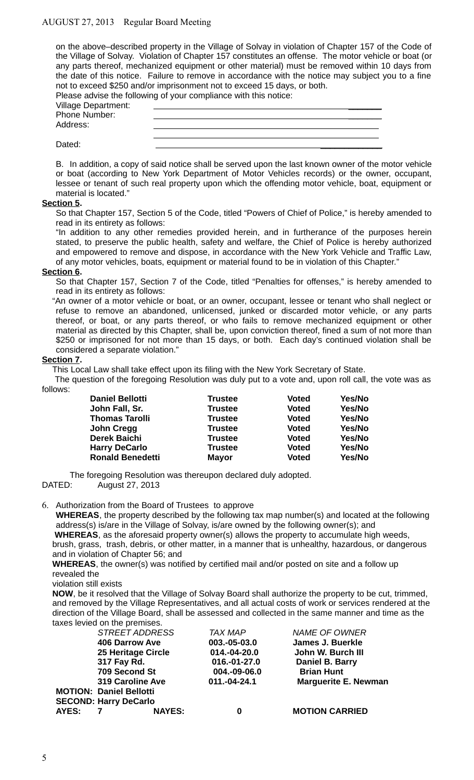# AUGUST 27, 2013 Regular Board Meeting

on the above–described property in the Village of Solvay in violation of Chapter 157 of the Code of the Village of Solvay. Violation of Chapter 157 constitutes an offense. The motor vehicle or boat (or any parts thereof, mechanized equipment or other material) must be removed within 10 days from the date of this notice. Failure to remove in accordance with the notice may subject you to a fine not to exceed \$250 and/or imprisonment not to exceed 15 days, or both.

| Please advise the following of your compliance with this notice: |  |  |  |  |  |  |  |  |
|------------------------------------------------------------------|--|--|--|--|--|--|--|--|
| <b>Village Department:</b>                                       |  |  |  |  |  |  |  |  |
| Phone Number:                                                    |  |  |  |  |  |  |  |  |
| Address:                                                         |  |  |  |  |  |  |  |  |
|                                                                  |  |  |  |  |  |  |  |  |
| Dated:                                                           |  |  |  |  |  |  |  |  |

B. In addition, a copy of said notice shall be served upon the last known owner of the motor vehicle or boat (according to New York Department of Motor Vehicles records) or the owner, occupant, lessee or tenant of such real property upon which the offending motor vehicle, boat, equipment or material is located."

#### **Section 5.**

So that Chapter 157, Section 5 of the Code, titled "Powers of Chief of Police," is hereby amended to read in its entirety as follows:

"In addition to any other remedies provided herein, and in furtherance of the purposes herein stated, to preserve the public health, safety and welfare, the Chief of Police is hereby authorized and empowered to remove and dispose, in accordance with the New York Vehicle and Traffic Law, of any motor vehicles, boats, equipment or material found to be in violation of this Chapter."

#### **Section 6.**

So that Chapter 157, Section 7 of the Code, titled "Penalties for offenses," is hereby amended to read in its entirety as follows:

"An owner of a motor vehicle or boat, or an owner, occupant, lessee or tenant who shall neglect or refuse to remove an abandoned, unlicensed, junked or discarded motor vehicle, or any parts thereof, or boat, or any parts thereof, or who fails to remove mechanized equipment or other material as directed by this Chapter, shall be, upon conviction thereof, fined a sum of not more than \$250 or imprisoned for not more than 15 days, or both. Each day's continued violation shall be considered a separate violation."

# **Section 7.**

This Local Law shall take effect upon its filing with the New York Secretary of State.

 The question of the foregoing Resolution was duly put to a vote and, upon roll call, the vote was as follows:

| <b>Daniel Bellotti</b>  | <b>Trustee</b> | <b>Voted</b> | Yes/No |
|-------------------------|----------------|--------------|--------|
| John Fall, Sr.          | <b>Trustee</b> | <b>Voted</b> | Yes/No |
| <b>Thomas Tarolli</b>   | <b>Trustee</b> | <b>Voted</b> | Yes/No |
| <b>John Cregg</b>       | <b>Trustee</b> | <b>Voted</b> | Yes/No |
| <b>Derek Baichi</b>     | <b>Trustee</b> | <b>Voted</b> | Yes/No |
| <b>Harry DeCarlo</b>    | <b>Trustee</b> | <b>Voted</b> | Yes/No |
| <b>Ronald Benedetti</b> | <b>Mayor</b>   | <b>Voted</b> | Yes/No |
|                         |                |              |        |

The foregoing Resolution was thereupon declared duly adopted.

DATED: August 27, 2013

6. Authorization from the Board of Trustees to approve

**WHEREAS**, the property described by the following tax map number(s) and located at the following address(s) is/are in the Village of Solvay, is/are owned by the following owner(s); and  **WHEREAS**, as the aforesaid property owner(s) allows the property to accumulate high weeds,

brush, grass, trash, debris, or other matter, in a manner that is unhealthy, hazardous, or dangerous and in violation of Chapter 56; and

**WHEREAS**, the owner(s) was notified by certified mail and/or posted on site and a follow up revealed the

violation still exists

**NOW**, be it resolved that the Village of Solvay Board shall authorize the property to be cut, trimmed, and removed by the Village Representatives, and all actual costs of work or services rendered at the direction of the Village Board, shall be assessed and collected in the same manner and time as the taxes levied on the premises.

|                              | <b>STREET ADDRESS</b>          |               | <b>TAX MAP</b> |  | <b>NAME OF OWNER</b>        |  |
|------------------------------|--------------------------------|---------------|----------------|--|-----------------------------|--|
|                              | <b>406 Darrow Ave</b>          |               | 003.-05-03.0   |  | James J. Buerkle            |  |
|                              | 25 Heritage Circle             |               | 014.-04-20.0   |  | John W. Burch III           |  |
|                              | 317 Fay Rd.                    |               | 016.-01-27.0   |  | Daniel B. Barry             |  |
|                              | 709 Second St                  |               | 004.-09-06.0   |  | <b>Brian Hunt</b>           |  |
|                              | 319 Caroline Ave               |               | 011.-04-24.1   |  | <b>Marguerite E. Newman</b> |  |
|                              | <b>MOTION: Daniel Bellotti</b> |               |                |  |                             |  |
| <b>SECOND: Harry DeCarlo</b> |                                |               |                |  |                             |  |
| <b>AYES:</b>                 |                                | <b>NAYES:</b> | 0              |  | <b>MOTION CARRIED</b>       |  |